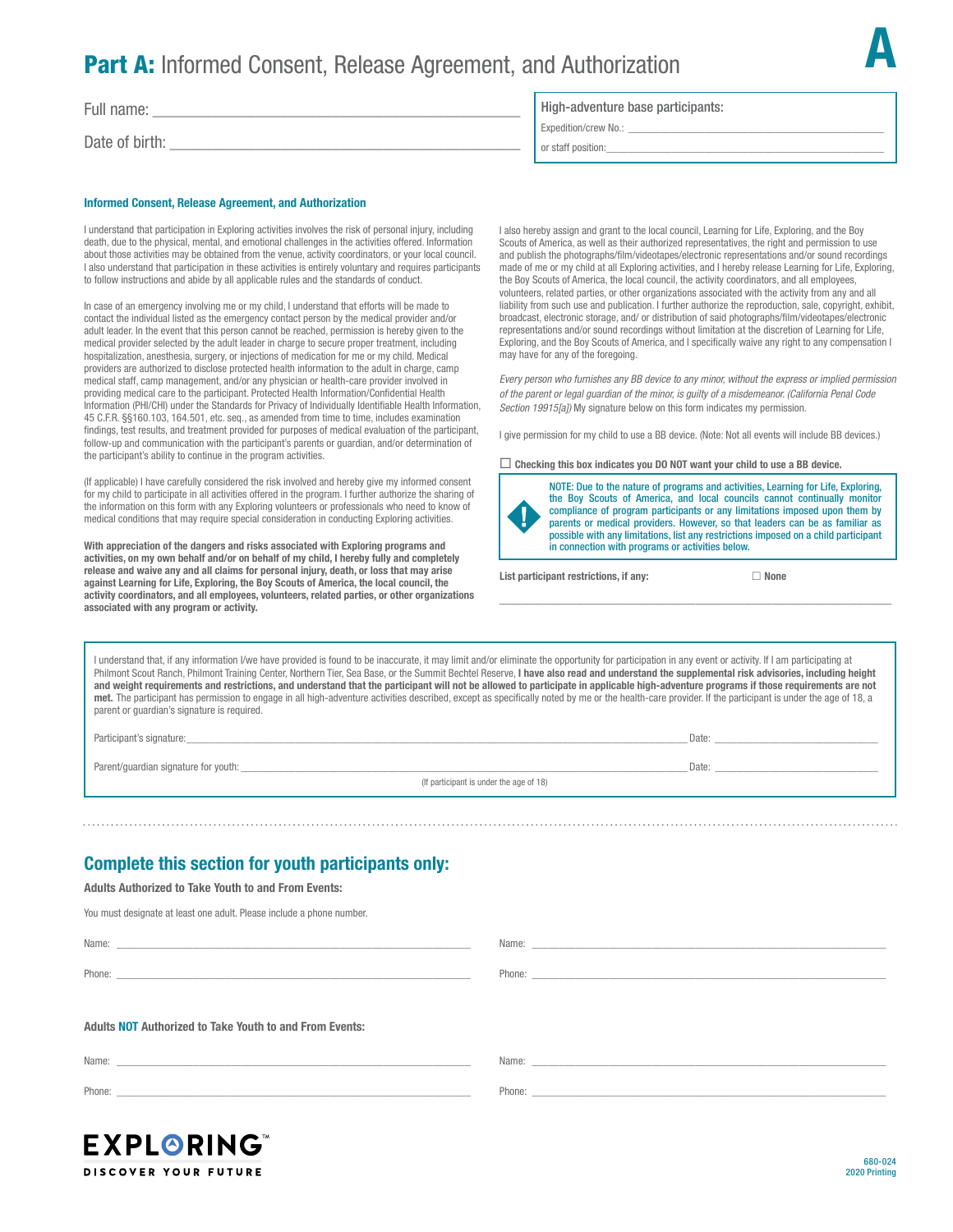## **Part A:** Informed Consent, Release Agreement, and Authorization

Full name:

Date of birth:

#### Informed Consent, Release Agreement, and Authorization

I understand that participation in Exploring activities involves the risk of personal injury, including death, due to the physical, mental, and emotional challenges in the activities offered. Information about those activities may be obtained from the venue, activity coordinators, or your local council. I also understand that participation in these activities is entirely voluntary and requires participants to follow instructions and abide by all applicable rules and the standards of conduct.

In case of an emergency involving me or my child, I understand that efforts will be made to contact the individual listed as the emergency contact person by the medical provider and/or adult leader. In the event that this person cannot be reached, permission is hereby given to the medical provider selected by the adult leader in charge to secure proper treatment, including hospitalization, anesthesia, surgery, or injections of medication for me or my child. Medical providers are authorized to disclose protected health information to the adult in charge, camp medical staff, camp management, and/or any physician or health-care provider involved in providing medical care to the participant. Protected Health Information/Confidential Health Information (PHI/CHI) under the Standards for Privacy of Individually Identifiable Health Information, 45 C.F.R. §§160.103, 164.501, etc. seq., as amended from time to time, includes examination findings, test results, and treatment provided for purposes of medical evaluation of the participant, follow-up and communication with the participant's parents or guardian, and/or determination of the participant's ability to continue in the program activities.

(If applicable) I have carefully considered the risk involved and hereby give my informed consent for my child to participate in all activities offered in the program. I further authorize the sharing of the information on this form with any Exploring volunteers or professionals who need to know of medical conditions that may require special consideration in conducting Exploring activities.

With appreciation of the dangers and risks associated with Exploring programs and activities, on my own behalf and/or on behalf of my child, I hereby fully and completely release and waive any and all claims for personal injury, death, or loss that may arise against Learning for Life, Exploring, the Boy Scouts of America, the local council, the activity coordinators, and all employees, volunteers, related parties, or other organizations associated with any program or activity.

### High-adventure base participants:

Expedition/crew No.: \_

or staff position:

I also hereby assign and grant to the local council, Learning for Life, Exploring, and the Boy Scouts of America, as well as their authorized representatives, the right and permission to use and publish the photographs/film/videotapes/electronic representations and/or sound recordings made of me or my child at all Exploring activities, and I hereby release Learning for Life, Exploring, the Boy Scouts of America, the local council, the activity coordinators, and all employees, volunteers, related parties, or other organizations associated with the activity from any and all liability from such use and publication. I further authorize the reproduction, sale, copyright, exhibit broadcast, electronic storage, and/ or distribution of said photographs/film/videotapes/electronic representations and/or sound recordings without limitation at the discretion of Learning for Life, Exploring, and the Boy Scouts of America, and I specifically waive any right to any compensation I may have for any of the foregoing.

*Every person who furnishes any BB device to any minor, without the express or implied permission of the parent or legal guardian of the minor, is guilty of a misdemeanor. (California Penal Code Section 19915[a])* My signature below on this form indicates my permission.

I give permission for my child to use a BB device. (Note: Not all events will include BB devices.)

\_\_\_\_\_\_\_\_\_\_\_\_\_\_\_\_\_\_\_\_\_\_\_\_\_\_\_\_\_\_\_\_\_\_\_\_\_\_\_\_\_\_\_\_\_\_\_\_\_\_\_\_\_\_\_\_

 $\Box$  Checking this box indicates you DO NOT want your child to use a BB device.



NOTE: Due to the nature of programs and activities, Learning for Life, Exploring, the Boy Scouts of America, and local councils cannot continually monitor compliance of program participants or any limitations imposed upon them by parents or medical providers. However, so that leaders can be as familiar as possible with any limitations, list any restrictions imposed on a child participant in connection with programs or activities below.

List participant restrictions, if any:  $\Box$  None

A

680-024 2020 Printing

I understand that, if any information I/we have provided is found to be inaccurate, it may limit and/or eliminate the opportunity for participation in any event or activity. If I am participating at Philmont Scout Ranch, Philmont Training Center, Northern Tier, Sea Base, or the Summit Bechtel Reserve, I have also read and understand the supplemental risk advisories, including height and weight requirements and restrictions, and understand that the participant will not be allowed to participate in applicable high-adventure programs if those requirements are not met. The participant has permission to engage in all high-adventure activities described, except as specifically noted by me or the health-care provider. If the participant is under the age of 18, a parent or guardian's signature is required.

Participant's signature:\_\_\_\_\_\_\_\_\_\_\_\_\_\_\_\_\_\_\_\_\_\_\_\_\_\_\_\_\_\_\_\_\_\_\_\_\_\_\_\_\_\_\_\_\_\_\_\_\_\_\_\_\_\_\_\_\_\_\_\_\_\_\_\_\_\_\_\_\_\_\_\_\_\_\_\_\_\_\_\_\_\_\_\_\_\_\_\_\_\_\_\_ Date: \_\_\_\_\_\_\_\_\_\_\_\_\_\_\_\_\_\_\_\_\_\_\_\_\_\_\_\_\_\_

Parent/guardian signature for youth: \_\_\_\_\_\_\_\_\_\_\_\_\_\_\_\_\_\_\_\_\_\_\_\_\_\_\_\_\_\_\_\_\_\_\_\_\_\_\_\_\_\_\_\_\_\_\_\_\_\_\_\_\_\_\_\_\_\_\_\_\_\_\_\_\_\_\_\_\_\_\_\_\_\_\_\_\_\_\_\_\_\_ Date: \_\_\_\_\_\_\_\_\_\_\_\_\_\_\_\_\_\_\_\_\_\_\_\_\_\_\_\_\_\_

**EXPLORING DISCOVER YOUR FUTURE** 

(If participant is under the age of 18)

## Complete this section for youth participants only:

Adults Authorized to Take Youth to and From Events:

You must designate at least one adult. Please include a phone number.

Adults NOT Authorized to Take Youth to and From Events: Name: \_\_\_\_\_\_\_\_\_\_\_\_\_\_\_\_\_\_\_\_\_\_\_\_\_\_\_\_\_\_\_\_\_\_\_\_\_\_\_\_\_\_\_\_\_\_\_\_\_\_\_\_\_\_\_\_\_\_\_\_\_\_\_\_\_ Phone: \_\_\_\_\_\_\_\_\_\_\_\_\_\_\_\_\_\_\_\_\_\_\_\_\_\_\_\_\_\_\_\_\_\_\_\_\_\_\_\_\_\_\_\_\_\_\_\_\_\_\_\_\_\_\_\_\_\_\_\_\_\_\_\_\_ Name: Phone: \_\_\_\_\_\_\_\_\_\_\_\_\_\_\_\_\_\_\_\_\_\_\_\_\_\_\_\_\_\_\_\_\_\_\_\_\_\_\_\_\_\_\_\_\_\_\_\_\_\_\_\_\_\_\_\_\_\_\_\_\_\_\_\_\_

Name: \_\_ Phone:  $\Box$ Name: \_\_\_\_\_\_\_\_\_\_\_\_\_\_\_\_\_\_\_\_\_\_\_\_\_\_\_\_\_\_\_\_\_\_\_\_\_\_\_\_\_\_\_\_\_\_\_\_\_\_\_\_\_\_\_\_\_\_\_\_\_\_\_\_\_ Phone: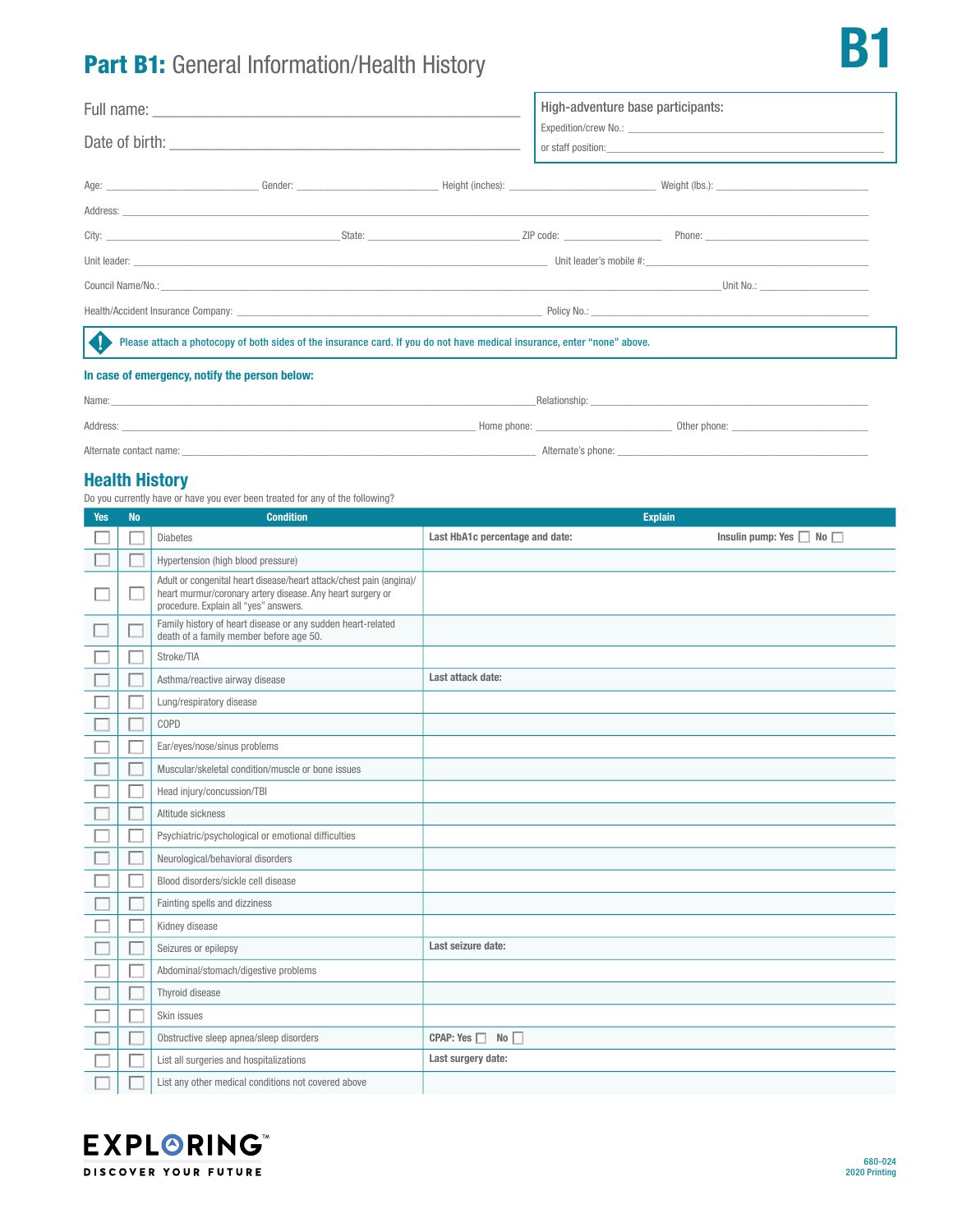# Part B1: General Information/Health History

|                                                |                                                                                                                          |  | High-adventure base participants:                                                                                                                                                                                              |  |
|------------------------------------------------|--------------------------------------------------------------------------------------------------------------------------|--|--------------------------------------------------------------------------------------------------------------------------------------------------------------------------------------------------------------------------------|--|
|                                                |                                                                                                                          |  |                                                                                                                                                                                                                                |  |
|                                                |                                                                                                                          |  |                                                                                                                                                                                                                                |  |
|                                                |                                                                                                                          |  |                                                                                                                                                                                                                                |  |
|                                                |                                                                                                                          |  |                                                                                                                                                                                                                                |  |
|                                                |                                                                                                                          |  | Unit No.: <b>Example 2</b>                                                                                                                                                                                                     |  |
|                                                |                                                                                                                          |  | Health/Accident Insurance Company: University Communication of the Communication of Policy No.: Network and Communication of the Communication of the Communication of the Communication of the Communication of the Communica |  |
|                                                | Please attach a photocopy of both sides of the insurance card. If you do not have medical insurance, enter "none" above. |  |                                                                                                                                                                                                                                |  |
| In case of emergency, notify the person below: |                                                                                                                          |  |                                                                                                                                                                                                                                |  |

### In case of emergency, notify the person below:

| Name:                   |             | _Relationship:     |              |
|-------------------------|-------------|--------------------|--------------|
| Address:                | Home phone: |                    | Other phone: |
| Alternate contact name: |             | Alternate's phone: |              |

## Health History

Do you currently have or have you ever been treated for any of the following?

| <b>Yes</b> | <b>No</b> | <b>Condition</b>                                                                                                                                                           | <b>Explain</b>                  |                                    |
|------------|-----------|----------------------------------------------------------------------------------------------------------------------------------------------------------------------------|---------------------------------|------------------------------------|
|            |           | <b>Diabetes</b>                                                                                                                                                            | Last HbA1c percentage and date: | Insulin pump: Yes $\Box$ No $\Box$ |
|            |           | Hypertension (high blood pressure)                                                                                                                                         |                                 |                                    |
|            |           | Adult or congenital heart disease/heart attack/chest pain (angina)/<br>heart murmur/coronary artery disease. Any heart surgery or<br>procedure. Explain all "yes" answers. |                                 |                                    |
|            |           | Family history of heart disease or any sudden heart-related<br>death of a family member before age 50.                                                                     |                                 |                                    |
|            |           | Stroke/TIA                                                                                                                                                                 |                                 |                                    |
|            |           | Asthma/reactive airway disease                                                                                                                                             | Last attack date:               |                                    |
|            |           | Lung/respiratory disease                                                                                                                                                   |                                 |                                    |
|            |           | COPD                                                                                                                                                                       |                                 |                                    |
|            |           | Ear/eyes/nose/sinus problems                                                                                                                                               |                                 |                                    |
|            |           | Muscular/skeletal condition/muscle or bone issues                                                                                                                          |                                 |                                    |
|            |           | Head injury/concussion/TBI                                                                                                                                                 |                                 |                                    |
|            |           | Altitude sickness                                                                                                                                                          |                                 |                                    |
|            |           | Psychiatric/psychological or emotional difficulties                                                                                                                        |                                 |                                    |
|            |           | Neurological/behavioral disorders                                                                                                                                          |                                 |                                    |
|            |           | Blood disorders/sickle cell disease                                                                                                                                        |                                 |                                    |
|            |           | Fainting spells and dizziness                                                                                                                                              |                                 |                                    |
|            |           | Kidney disease                                                                                                                                                             |                                 |                                    |
|            |           | Seizures or epilepsy                                                                                                                                                       | Last seizure date:              |                                    |
|            |           | Abdominal/stomach/digestive problems                                                                                                                                       |                                 |                                    |
|            |           | Thyroid disease                                                                                                                                                            |                                 |                                    |
|            |           | Skin issues                                                                                                                                                                |                                 |                                    |
|            |           | Obstructive sleep apnea/sleep disorders                                                                                                                                    | CPAP: Yes $\Box$ No $\Box$      |                                    |
|            |           | List all surgeries and hospitalizations                                                                                                                                    | Last surgery date:              |                                    |
|            |           | List any other medical conditions not covered above                                                                                                                        |                                 |                                    |



**B**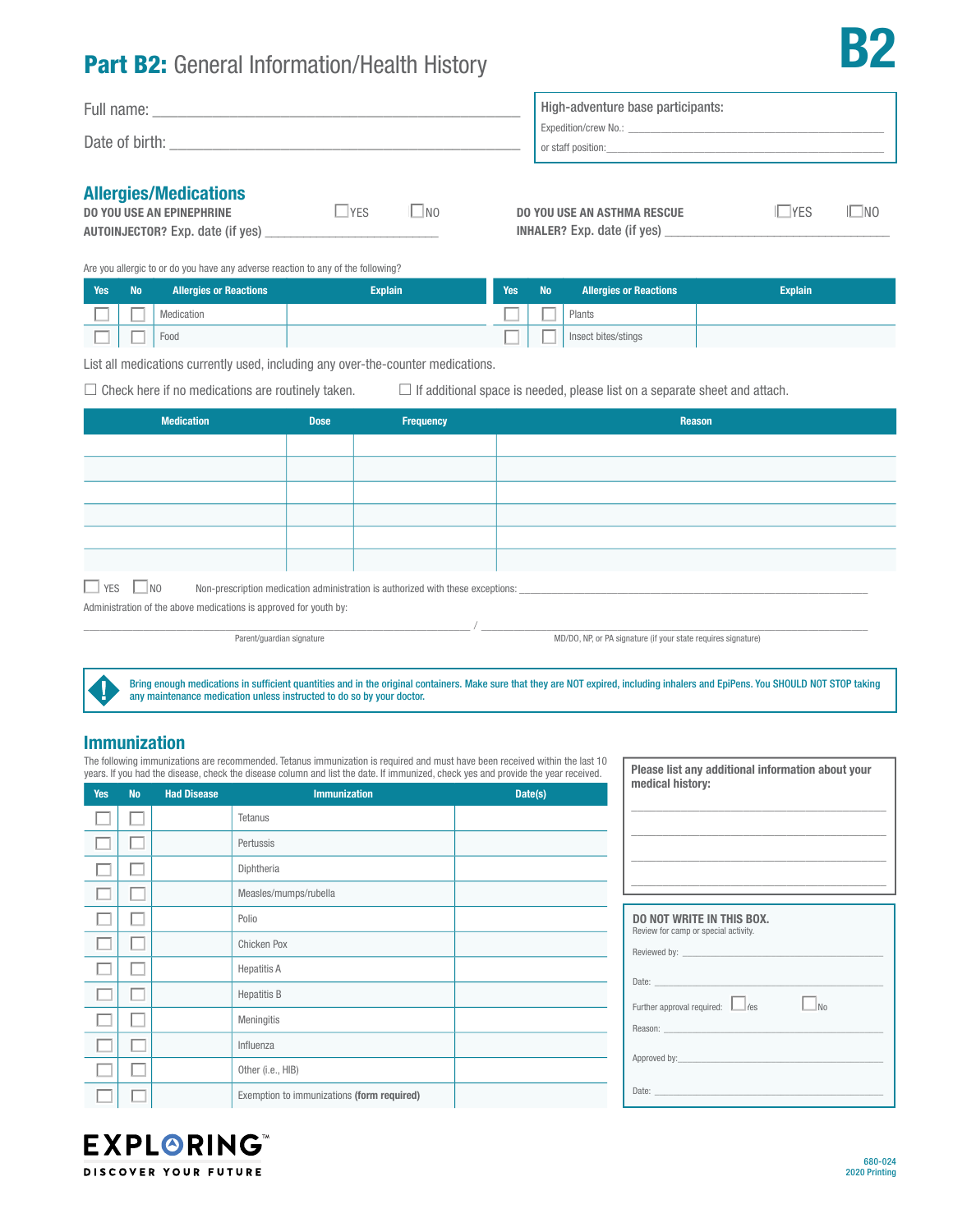## Part B2: General Information/Health History

| Full name:     | High-adventure base participants:          |
|----------------|--------------------------------------------|
| Date of birth: | Expedition/crew No.:<br>or staff position: |
| .<br>.<br>. .  |                                            |

|  |  |  |  |  | <b>Allergies/Medications</b> |  |
|--|--|--|--|--|------------------------------|--|
|--|--|--|--|--|------------------------------|--|

| DO YOU USE AN EPINEPHRINE               | $ $ YFS | N <sub>0</sub> |
|-----------------------------------------|---------|----------------|
| <b>AUTOINJECTOR?</b> Exp. date (if yes) |         |                |

| DO YOU USE AN ASTHMA RESCUE        | <b>I</b> YES | $\Box$ NO |
|------------------------------------|--------------|-----------|
| <b>INHALER?</b> Exp. date (if yes) |              |           |

Are you allergic to or do you have any adverse reaction to any of the following?

| <b>Yes</b> | <b>No</b>                | <b>Allergies or Reactions</b> | <b>Explain</b> | <b>Yes</b> | <b>No</b> | <b>Allergies or Reactions</b> | <b>Explain</b> |
|------------|--------------------------|-------------------------------|----------------|------------|-----------|-------------------------------|----------------|
|            | $\overline{\phantom{a}}$ | Medication                    |                |            |           | Plants                        |                |
|            | --                       | Food                          |                |            |           | Insect bites/stings           |                |

List all medications currently used, including any over-the-counter medications.

 $\Box$  Check here if no medications are routinely taken.  $\Box$  If additional space is needed, please list on a separate sheet and attach.

| <b>Medication</b>                                                                                                            | <b>Dose</b> | <b>Frequency</b> | Reason |  |  |  |
|------------------------------------------------------------------------------------------------------------------------------|-------------|------------------|--------|--|--|--|
|                                                                                                                              |             |                  |        |  |  |  |
|                                                                                                                              |             |                  |        |  |  |  |
|                                                                                                                              |             |                  |        |  |  |  |
|                                                                                                                              |             |                  |        |  |  |  |
|                                                                                                                              |             |                  |        |  |  |  |
|                                                                                                                              |             |                  |        |  |  |  |
| $\Box$ YES $\Box$ NO<br>Non-prescription medication administration is authorized with these exceptions: ____________________ |             |                  |        |  |  |  |
| Administration of the above medications is approved for youth by:                                                            |             |                  |        |  |  |  |

, which is the contribution of the contribution of  $\mathcal{N}_{\rm{max}}$  ,  $\mathcal{N}_{\rm{max}}$  ,  $\mathcal{N}_{\rm{max}}$ 

Parent/guardian signature MD/DO, NP, or PA signature (if your state requires signature)

Please list any additional information about your

Bring enough medications in sufficient quantities and in the original containers. Make sure that they are NOT expired, including inhalers and EpiPens. You SHOULD NOT STOP taking any maintenance medication unless instructed to do so by your doctor.

### Immunization

The following immunizations are recommended. Tetanus immunization is required and must have been received within the last 10 years. If you had the disease, check the disease column and list the date. If immunized, check yes and provide the year received.

| <b>Yes</b> | <b>No</b> | <b>Had Disease</b> | <b>Immunization</b>                        | Date(s) | medical history:                                                                                                       |
|------------|-----------|--------------------|--------------------------------------------|---------|------------------------------------------------------------------------------------------------------------------------|
|            |           |                    | Tetanus                                    |         |                                                                                                                        |
|            |           |                    | Pertussis                                  |         |                                                                                                                        |
|            |           |                    | Diphtheria                                 |         |                                                                                                                        |
|            |           |                    | Measles/mumps/rubella                      |         | <u> 1989 - Johann John Stone, markin amerikan basal dan berkembang dan berkembang dan berkembang dan berkembang da</u> |
|            |           |                    | Polio                                      |         | <b>DO NOT WRITE IN THIS BOX.</b><br>Review for camp or special activity.                                               |
|            |           |                    | Chicken Pox                                |         |                                                                                                                        |
|            |           |                    | <b>Hepatitis A</b>                         |         |                                                                                                                        |
|            |           |                    | <b>Hepatitis B</b>                         |         | $\Box$ No<br>Further approval required: Eles                                                                           |
|            |           |                    | Meningitis                                 |         |                                                                                                                        |
|            |           |                    | Influenza                                  |         |                                                                                                                        |
|            |           |                    | Other (i.e., HIB)                          |         |                                                                                                                        |
|            |           |                    | Exemption to immunizations (form required) |         |                                                                                                                        |



B2